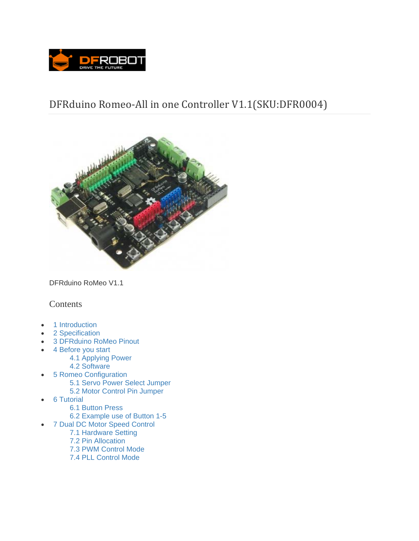

# DFRduino Romeo-All in one Controller V1.1(SKU:DFR0004)



DFRduino RoMeo V1.1

## Contents

- 1 Introduction
- 2 Specification
- 3 DFRduino RoMeo Pinout
- 4 Before you start
	- 4.1 Applying Power
		- 4.2 Software
- 5 Romeo Configuration 5.1 Servo Power Select Jumper
	- 5.2 Motor Control Pin Jumper
- 6 Tutorial
	- 6.1 Button Press
	- 6.2 Example use of Button 1-5
- 7 Dual DC Motor Speed Control
	- 7.1 Hardware Setting
	- 7.2 Pin Allocation
	- 7.3 PWM Control Mode
	- 7.4 PLL Control Mode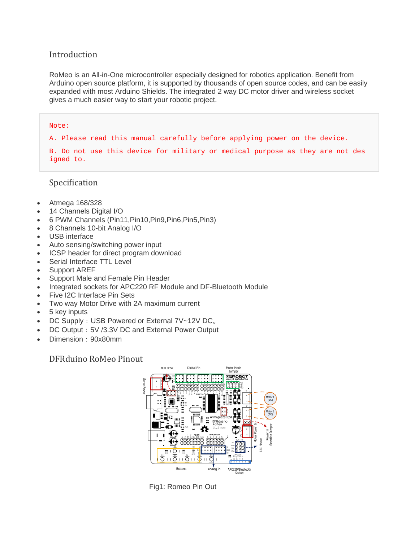## Introduction

RoMeo is an All-in-One microcontroller especially designed for robotics application. Benefit from Arduino open source platform, it is supported by thousands of open source codes, and can be easily expanded with most Arduino Shields. The integrated 2 way DC motor driver and wireless socket gives a much easier way to start your robotic project.

#### Note:

A. Please read this manual carefully before applying power on the device.

B. Do not use this device for military or medical purpose as they are not des igned to.

Specification

- Atmega 168/328
- 14 Channels Digital I/O
- 6 PWM Channels (Pin11,Pin10,Pin9,Pin6,Pin5,Pin3)
- 8 Channels 10-bit Analog I/O
- USB interface
- Auto sensing/switching power input
- ICSP header for direct program download
- Serial Interface TTL Level
- Support AREF
- Support Male and Female Pin Header
- Integrated sockets for APC220 RF Module and DF-Bluetooth Module
- Five I2C Interface Pin Sets
- Two way Motor Drive with 2A maximum current
- 5 key inputs
- DC Supply: USB Powered or External 7V~12V DC。
- DC Output: 5V /3.3V DC and External Power Output
- Dimension:90x80mm

DFRduino RoMeo Pinout



Fig1: Romeo Pin Out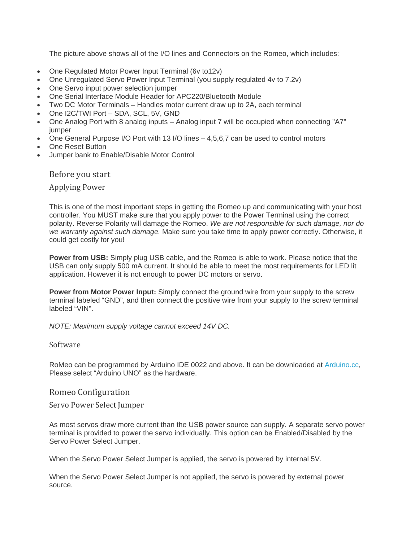The picture above shows all of the I/O lines and Connectors on the Romeo, which includes:

- One Regulated Motor Power Input Terminal (6v to12v)
- One Unregulated Servo Power Input Terminal (you supply regulated 4v to 7.2v)
- One Servo input power selection jumper
- One Serial Interface Module Header for APC220/Bluetooth Module
- Two DC Motor Terminals Handles motor current draw up to 2A, each terminal
- One I2C/TWI Port SDA, SCL, 5V, GND
- One Analog Port with 8 analog inputs Analog input 7 will be occupied when connecting "A7" jumper
- One General Purpose I/O Port with 13 I/O lines 4,5,6,7 can be used to control motors
- One Reset Button
- Jumper bank to Enable/Disable Motor Control

Before you start

**Applying Power** 

This is one of the most important steps in getting the Romeo up and communicating with your host controller. You MUST make sure that you apply power to the Power Terminal using the correct polarity. Reverse Polarity will damage the Romeo. *We are not responsible for such damage, nor do we warranty against such damage.* Make sure you take time to apply power correctly. Otherwise, it could get costly for you!

**Power from USB:** Simply plug USB cable, and the Romeo is able to work. Please notice that the USB can only supply 500 mA current. It should be able to meet the most requirements for LED lit application. However it is not enough to power DC motors or servo.

**Power from Motor Power Input:** Simply connect the ground wire from your supply to the screw terminal labeled "GND", and then connect the positive wire from your supply to the screw terminal labeled "VIN".

*NOTE: Maximum supply voltage cannot exceed 14V DC.*

#### Software

RoMeo can be programmed by Arduino IDE 0022 and above. It can be downloaded at Arduino.cc, Please select "Arduino UNO" as the hardware.

#### Romeo Configuration

Servo Power Select Jumper

As most servos draw more current than the USB power source can supply. A separate servo power terminal is provided to power the servo individually. This option can be Enabled/Disabled by the Servo Power Select Jumper.

When the Servo Power Select Jumper is applied, the servo is powered by internal 5V.

When the Servo Power Select Jumper is not applied, the servo is powered by external power source.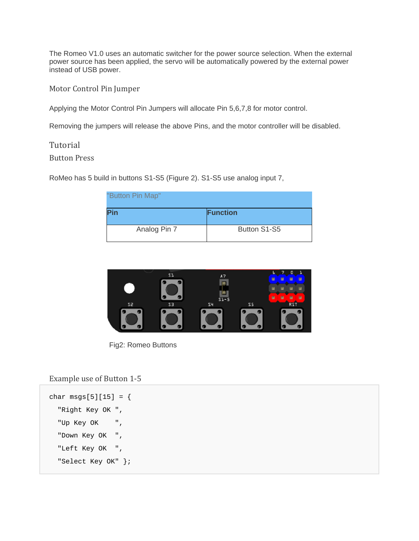The Romeo V1.0 uses an automatic switcher for the power source selection. When the external power source has been applied, the servo will be automatically powered by the external power instead of USB power.

Motor Control Pin Jumper

Applying the Motor Control Pin Jumpers will allocate Pin 5,6,7,8 for motor control.

Removing the jumpers will release the above Pins, and the motor controller will be disabled.

Tutorial

Button Press 

RoMeo has 5 build in buttons S1-S5 (Figure 2). S1-S5 use analog input 7,

| "Button Pin Map". |                 |
|-------------------|-----------------|
| Pin               | <b>Function</b> |
| Analog Pin 7      | Button S1-S5    |



Fig2: Romeo Buttons

### Example use of Button 1-5

```
char msgs[5][15] = { "Right Key OK ", 
   "Up Key OK ", 
   "Down Key OK ", 
   "Left Key OK ", 
   "Select Key OK" };
```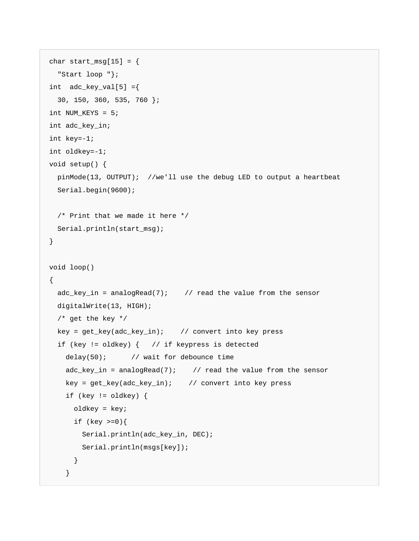```
char start_msg[15] = \{ "Start loop "}; 
int adc\_key\_val[5] = \{ 30, 150, 360, 535, 760 }; 
int NUM_KEYS = 5; 
int adc_key_in; 
int key=-1; 
int oldkey=-1; 
void setup() { 
  pinMode(13, OUTPUT); //we'll use the debug LED to output a heartbeat 
  Serial.begin(9600); 
  /* Print that we made it here */ 
  Serial.println(start_msg); 
} 
void loop() 
{ 
  adc\_key\_in = analogRead(7); // read the value from the sensor
  digitalWrite(13, HIGH); 
   /* get the key */ 
  key = get_key(adc_key_in); // convert into key press 
   if (key != oldkey) { // if keypress is detected 
    delay(50); // wait for debounce time
   adc_key_in = analogRead(7); \qquad // read the value from the sensor
    key = get_key(adc_key_in); // convert into key press 
     if (key != oldkey) { 
      oldkey = key; 
      if (key \ge 0)Serial.println(adc_key_in, DEC);
       Serial.println(msgs[key]);
       } 
     }
```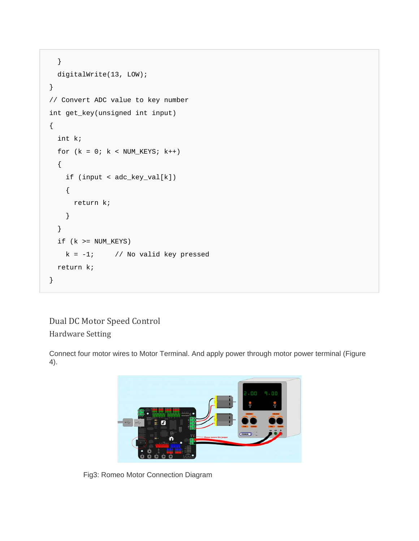```
 } 
   digitalWrite(13, LOW); 
} 
// Convert ADC value to key number 
int get_key(unsigned int input) 
{ 
   int k; 
  for (k = 0; k < NUM_KEYS; k++) { 
     if (input < adc_key_val[k]) 
     { 
       return k; 
     } 
   } 
  if (k >= NUM\_KEYS)k = -1; // No valid key pressed
   return k; 
}
```
## Dual DC Motor Speed Control Hardware Setting

Connect four motor wires to Motor Terminal. And apply power through motor power terminal (Figure 4).



Fig3: Romeo Motor Connection Diagram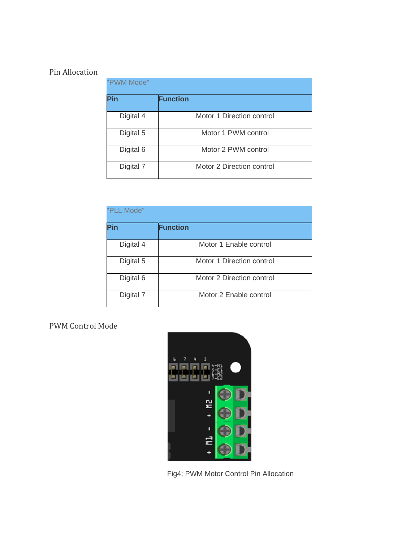## Pin Allocation

| "PWM Mode" |                           |  |
|------------|---------------------------|--|
| Pin        | <b>Function</b>           |  |
| Digital 4  | Motor 1 Direction control |  |
| Digital 5  | Motor 1 PWM control       |  |
| Digital 6  | Motor 2 PWM control       |  |
| Digital 7  | Motor 2 Direction control |  |

| "PLL Mode" |                           |  |
|------------|---------------------------|--|
| Pin        | <b>Function</b>           |  |
| Digital 4  | Motor 1 Enable control    |  |
| Digital 5  | Motor 1 Direction control |  |
| Digital 6  | Motor 2 Direction control |  |
| Digital 7  | Motor 2 Enable control    |  |

PWM Control Mode



Fig4: PWM Motor Control Pin Allocation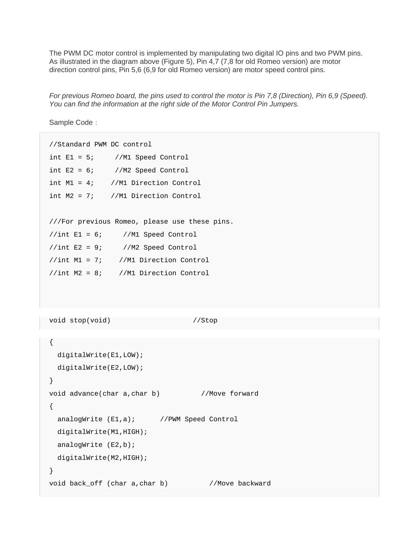The PWM DC motor control is implemented by manipulating two digital IO pins and two PWM pins. As illustrated in the diagram above (Figure 5), Pin 4,7 (7,8 for old Romeo version) are motor direction control pins, Pin 5,6 (6,9 for old Romeo version) are motor speed control pins.

*For previous Romeo board, the pins used to control the motor is Pin 7,8 (Direction), Pin 6,9 (Speed). You can find the information at the right side of the Motor Control Pin Jumpers.*

Sample Code:

```
//Standard PWM DC control 
int E1 = 5; //M1 Speed Control 
int E2 = 6; //M2 Speed Control
int M1 = 4; //M1 Direction Control 
int M2 = 7; //M1 Direction Control
///For previous Romeo, please use these pins. 
//int E1 = 6; //M1 Speed Control 
//int E2 = 9; //M2 Speed Control//int M1 = 7; //M1 Direction Control 
//int M2 = 8; //M1 Direction Control 
void stop(void) //Stop{ 
  digitalWrite(E1,LOW); 
  digitalWrite(E2,LOW); 
} 
void advance(char a,char b) //Move forward 
{ 
 analogWrite (E1,a); //PWM Speed Control
  digitalWrite(M1,HIGH); 
  analogWrite (E2,b); 
  digitalWrite(M2,HIGH); 
} 
void back_off (char a,char b) //Move backward
```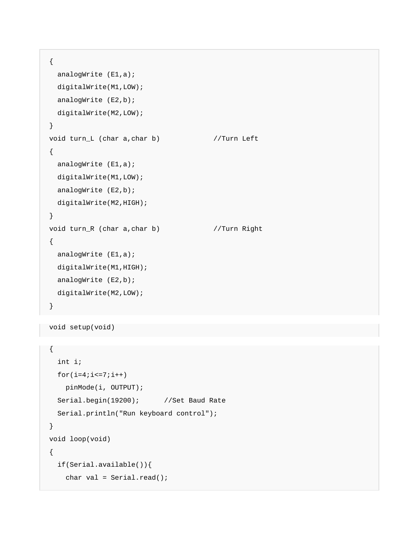```
{ 
  analogWrite (E1,a);
  digitalWrite(M1,LOW); 
  analogWrite (E2,b);
  digitalWrite(M2,LOW); 
} 
void turn_L (char a, char b) //Turn Left
{ 
  analogWrite (E1,a);
  digitalWrite(M1,LOW); 
 analogWrite (E2,b);
  digitalWrite(M2,HIGH); 
} 
void turn_R (char a, char b) //Turn Right
{ 
  analogWrite (E1,a);
  digitalWrite(M1,HIGH); 
  analogWrite (E2,b); 
  digitalWrite(M2,LOW); 
}
```

```
void setup(void)
```

```
{ 
   int i; 
 for(i=4;i<=7;i++) pinMode(i, OUTPUT); 
  Serial.begin(19200); //Set Baud Rate
   Serial.println("Run keyboard control"); 
} 
void loop(void) 
{ 
   if(Serial.available()){ 
    char val = Serial.read();
```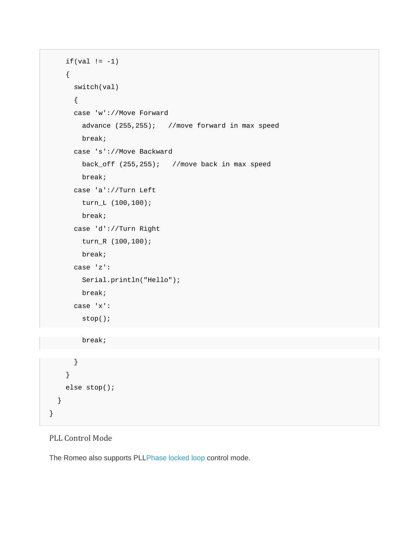```
if(val != -1) { 
       switch(val) 
       { 
       case 'w'://Move Forward 
         advance (255,255); //move forward in max speed 
         break; 
       case 's'://Move Backward 
        back_off (255,255); //move back in max speed 
         break; 
       case 'a'://Turn Left 
         turn_L (100,100); 
         break; 
       case 'd'://Turn Right 
         turn_R (100,100); 
        break; 
       case 'z': 
        Serial.println("Hello"); 
         break; 
       case 'x': 
         stop(); 
         break; 
 } 
     } 
    else stop(); 
  }
```
## PLL Control Mode

}

The Romeo also supports PLLPhase locked loop control mode.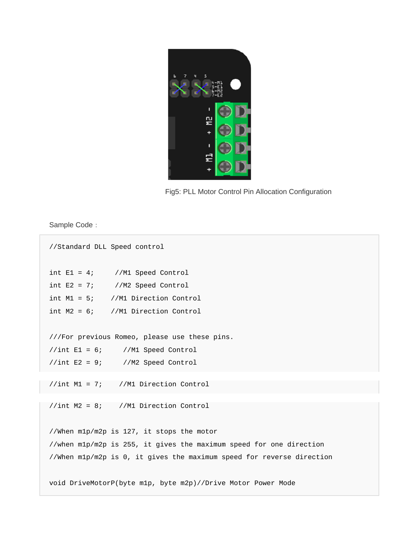

Fig5: PLL Motor Control Pin Allocation Configuration

Sample Code:

```
//Standard DLL Speed control 
int E1 = 4; //M1 Speed Control
int E2 = 7; //M2 Speed Control
int M1 = 5; //M1 Direction Control 
int M2 = 6; //M1 Direction Control 
///For previous Romeo, please use these pins. 
//int E1 = 6; //M1 Speed Control 
//int E2 = 9; //M2 Speed Control//int M1 = 7; //M1 Direction Control 
//int M2 = 8; //M1 Direction Control 
//When m1p/m2p is 127, it stops the motor 
//when m1p/m2p is 255, it gives the maximum speed for one direction 
//When m1p/m2p is 0, it gives the maximum speed for reverse direction 
void DriveMotorP(byte m1p, byte m2p)//Drive Motor Power Mode
```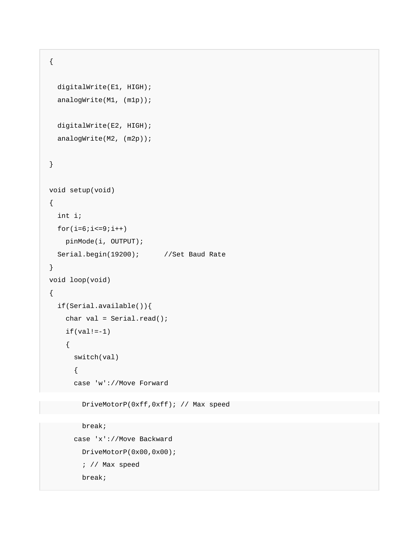```
{ 
   digitalWrite(E1, HIGH); 
  analogWrite(M1, (m1p));
   digitalWrite(E2, HIGH); 
  analogWrite(M2, (m2p));
} 
void setup(void) 
{ 
   int i; 
 for(i=6;i<=9;i++) pinMode(i, OUTPUT); 
  Serial.begin(19200); //Set Baud Rate
} 
void loop(void) 
{ 
   if(Serial.available()){ 
    char val = Serial.read();
    if(val!=-1) { 
       switch(val) 
       { 
       case 'w'://Move Forward
```
DriveMotorP(0xff,0xff); // Max speed

```
 break; 
 case 'x'://Move Backward 
   DriveMotorP(0x00,0x00); 
   ; // Max speed 
   break;
```